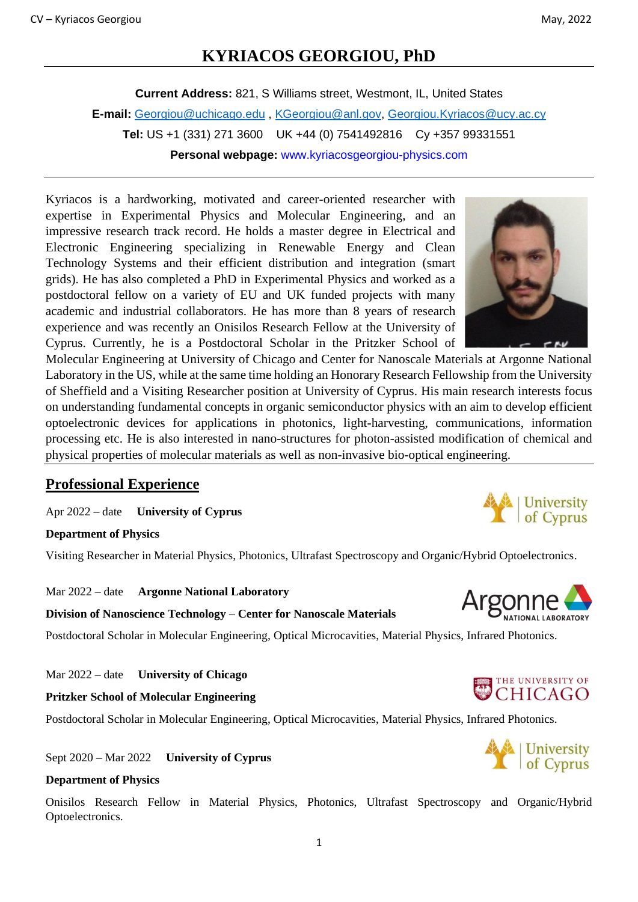# **KYRIACOS GEORGIOU, PhD**

**Current Address:** 821, S Williams street, Westmont, IL, United States **E-mail:** [Georgiou@uchicago.edu](mailto:Georgiou@uchicago.edu) , [KGeorgiou@anl.gov,](mailto:KGeorgiou@anl.gov) [Georgiou.Kyriacos@ucy.ac.cy](mailto:Georgiou.Kyriacos@ucy.ac.cy) **Tel:** US +1 (331) 271 3600 UK +44 (0) 7541492816 Cy +357 99331551 **Personal webpage:** www.kyriacosgeorgiou-physics.com

Kyriacos is a hardworking, motivated and career-oriented researcher with expertise in Experimental Physics and Molecular Engineering, and an impressive research track record. He holds a master degree in Electrical and Electronic Engineering specializing in Renewable Energy and Clean Technology Systems and their efficient distribution and integration (smart grids). He has also completed a PhD in Experimental Physics and worked as a postdoctoral fellow on a variety of EU and UK funded projects with many academic and industrial collaborators. He has more than 8 years of research experience and was recently an Onisilos Research Fellow at the University of Cyprus. Currently, he is a Postdoctoral Scholar in the Pritzker School of

Molecular Engineering at University of Chicago and Center for Nanoscale Materials at Argonne National Laboratory in the US, while at the same time holding an Honorary Research Fellowship from the University of Sheffield and a Visiting Researcher position at University of Cyprus. His main research interests focus on understanding fundamental concepts in organic semiconductor physics with an aim to develop efficient optoelectronic devices for applications in photonics, light-harvesting, communications, information processing etc. He is also interested in nano-structures for photon-assisted modification of chemical and physical properties of molecular materials as well as non-invasive bio-optical engineering.

# **Professional Experience**

Apr 2022 – date **University of Cyprus**

**Department of Physics**

Visiting Researcher in Material Physics, Photonics, Ultrafast Spectroscopy and Organic/Hybrid Optoelectronics.

Mar 2022 – date **Argonne National Laboratory**

**Division of Nanoscience Technology – Center for Nanoscale Materials**

Postdoctoral Scholar in Molecular Engineering, Optical Microcavities, Material Physics, Infrared Photonics.

Mar 2022 – date **University of Chicago**

**Pritzker School of Molecular Engineering**

Postdoctoral Scholar in Molecular Engineering, Optical Microcavities, Material Physics, Infrared Photonics.

Sept 2020 – Mar 2022 **University of Cyprus**

#### **Department of Physics**

Onisilos Research Fellow in Material Physics, Photonics, Ultrafast Spectroscopy and Organic/Hybrid Optoelectronics.







THE UNIVERSITY OF



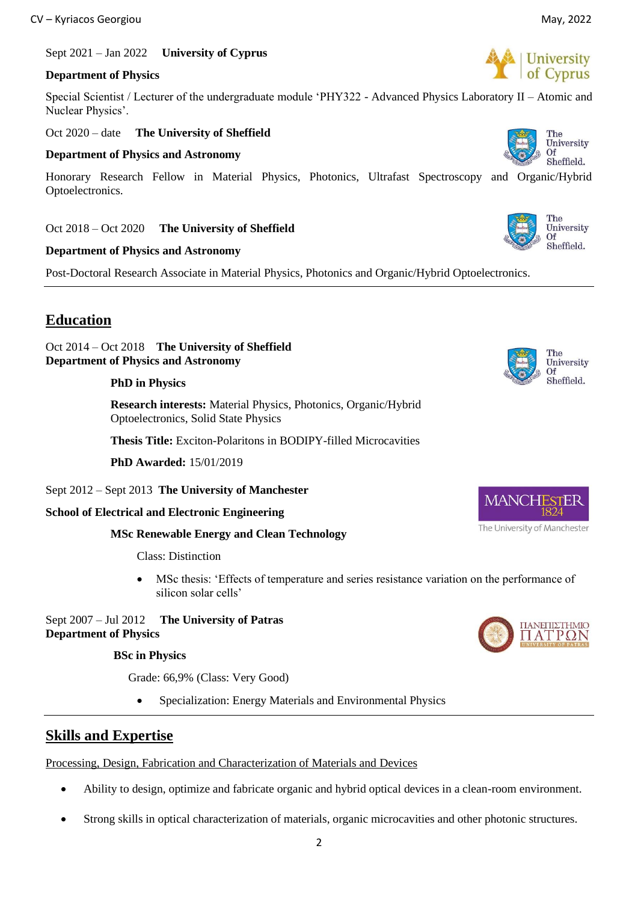Sept 2021 – Jan 2022 **University of Cyprus**

### **Department of Physics**

Special Scientist / Lecturer of the undergraduate module 'PHY322 - Advanced Physics Laboratory II – Atomic and Nuclear Physics'.

Oct 2020 – date **The University of Sheffield**

#### **Department of Physics and Astronomy**

Honorary Research Fellow in Material Physics, Photonics, Ultrafast Spectroscopy and Organic/Hybrid Optoelectronics.

Oct 2018 – Oct 2020 **The University of Sheffield**

#### **Department of Physics and Astronomy**

Post-Doctoral Research Associate in Material Physics, Photonics and Organic/Hybrid Optoelectronics.

# **Education**

Oct 2014 – Oct 2018 **The University of Sheffield Department of Physics and Astronomy**

#### **PhD in Physics**

 **Research interests:** Material Physics, Photonics, Organic/Hybrid Optoelectronics, Solid State Physics

 **Thesis Title:** Exciton-Polaritons in BODIPY-filled Microcavities

 **PhD Awarded:** 15/01/2019

#### Sept 2012 – Sept 2013 **The University of Manchester**

#### **School of Electrical and Electronic Engineering**

#### **MSc Renewable Energy and Clean Technology**

Class: Distinction

MSc thesis: 'Effects of temperature and series resistance variation on the performance of silicon solar cells'

Sept 2007 – Jul 2012 **The University of Patras Department of Physics**

#### **BSc in Physics**

Grade: 66,9% (Class: Very Good)

• Specialization: Energy Materials and Environmental Physics

### **Skills and Expertise**

Processing, Design, Fabrication and Characterization of Materials and Devices

- Ability to design, optimize and fabricate organic and hybrid optical devices in a clean-room environment.
- Strong skills in optical characterization of materials, organic microcavities and other photonic structures.



The University Of Sheffield.

The University Of Sheffield.









The<br>University Of Sheffield.



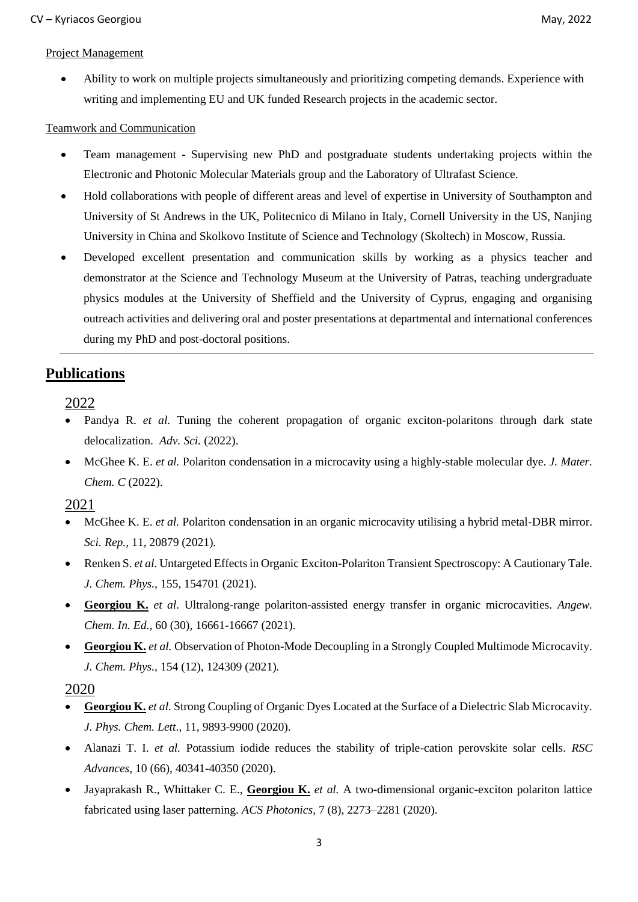### Project Management

• Ability to work on multiple projects simultaneously and prioritizing competing demands. Experience with writing and implementing EU and UK funded Research projects in the academic sector.

### Teamwork and Communication

- Team management Supervising new PhD and postgraduate students undertaking projects within the Electronic and Photonic Molecular Materials group and the Laboratory of Ultrafast Science.
- Hold collaborations with people of different areas and level of expertise in University of Southampton and University of St Andrews in the UK, Politecnico di Milano in Italy, Cornell University in the US, Nanjing University in China and Skolkovo Institute of Science and Technology (Skoltech) in Moscow, Russia.
- Developed excellent presentation and communication skills by working as a physics teacher and demonstrator at the Science and Technology Museum at the University of Patras, teaching undergraduate physics modules at the University of Sheffield and the University of Cyprus, engaging and organising outreach activities and delivering oral and poster presentations at departmental and international conferences during my PhD and post-doctoral positions.

# **Publications**

2022

- Pandya R. *et al.* [Tuning the coherent propagation of organic exciton-polaritons through dark state](https://arxiv.org/abs/2112.02141)  [delocalization.](https://arxiv.org/abs/2112.02141) *Adv. Sci.* (2022).
- McGhee K. E. *et al.* [Polariton condensation in a microcavity using a highly-stable molecular dye.](https://pubs.rsc.org/en/content/articlelanding/2022/tc/d1tc05554b/unauth) *J. Mater. Chem. C* (2022).

2021

- McGhee K. E. *et al.* [Polariton condensation in an organic microcavity utilising a hybrid metal-DBR mirror.](https://www.nature.com/articles/s41598-021-00203-y) *Sci. Rep.*, 11, 20879 (2021)*.*
- Renken S. *et al.* [Untargeted Effects in Organic Exciton-Polariton Transient Spectroscopy: A Cautionary Tale.](https://aip.scitation.org/doi/full/10.1063/5.0063173) *J. Chem. Phys.*, 155, 154701 (2021)*.*
- **Georgiou K.** *et al.* [Ultralong-range polariton-assisted energy transfer in organic microcavities.](https://onlinelibrary.wiley.com/doi/full/10.1002/anie.202105442) *Angew. Chem. In. Ed.,* 60 (30), 16661-16667 (2021)*.*
- **Georgiou K.** *et al.* [Observation of Photon-Mode Decoupling in a Strongly Coupled Multimode Microcavity.](https://aip.scitation.org/doi/abs/10.1063/5.0038086) *J. Chem. Phys.*, 154 (12), 124309 (2021)*.*

# 2020

- **Georgiou K.** *et al.* [Strong Coupling of Organic Dyes Located at the Surface of a Dielectric Slab Microcavity.](https://pubs.acs.org/doi/abs/10.1021/acs.jpclett.0c02751) *J. Phys. Chem. Lett*., 11, 9893-9900 (2020).
- Alanazi T. I. *et al.* [Potassium iodide reduces the stability of triple-cation perovskite solar cells.](https://pubs.rsc.org/en/content/articlehtml/2020/ra/d0ra07107b) *RSC Advances,* 10 (66), 40341-40350 (2020).
- Jayaprakash R., Whittaker C. E., **Georgiou K.** *et al.* [A two-dimensional organic-exciton polariton lattice](https://pubs.acs.org/doi/abs/10.1021/acsphotonics.0c00867)  [fabricated using laser patterning.](https://pubs.acs.org/doi/abs/10.1021/acsphotonics.0c00867) *ACS Photonics*, 7 (8), 2273–2281 (2020).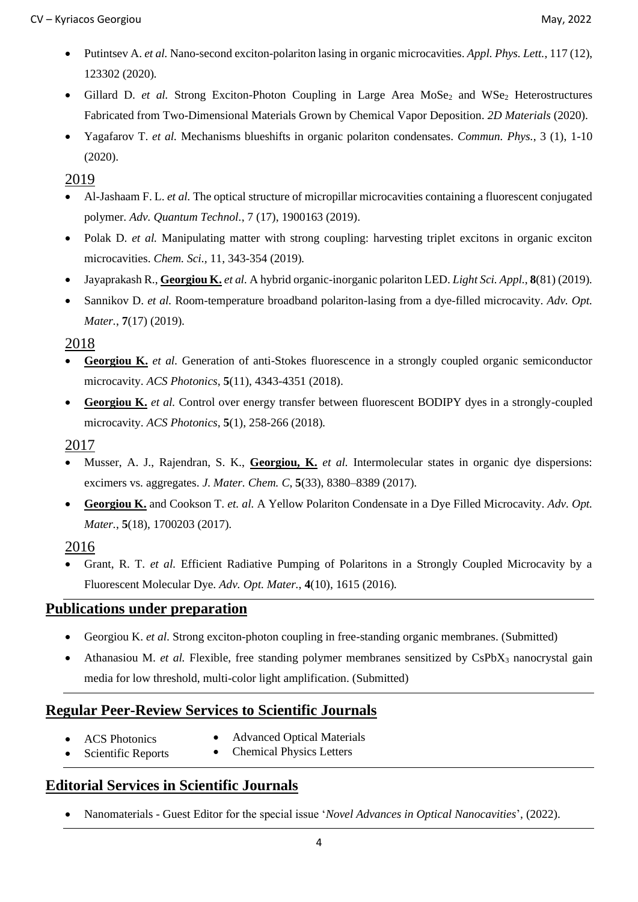- Putintsev A. *et al.* [Nano-second exciton-polariton lasing in organic microcavities.](https://aip.scitation.org/doi/abs/10.1063/5.0019195) *Appl. Phys. Lett.*, 117 (12), 123302 (2020)*.*
- Gillard D. *et al.* [Strong Exciton-Photon Coupling in Large Area MoSe](https://iopscience.iop.org/article/10.1088/2053-1583/abc5a1/meta)<sub>2</sub> and WSe<sub>2</sub> Heterostructures [Fabricated from Two-Dimensional Materials Grown by Chemical Vapor Deposition.](https://iopscience.iop.org/article/10.1088/2053-1583/abc5a1/meta) *2D Materials* (2020).
- Yagafarov T. *et al.* [Mechanisms blueshifts in organic polariton condensates.](https://www.nature.com/articles/s42005-019-0278-6) *Commun. Phys.*, 3 (1), 1-10 (2020).

### 2019

- Al-Jashaam F. L. *et al.* [The optical structure of micropillar microcavities containing a fluorescent conjugated](https://onlinelibrary.wiley.com/doi/abs/10.1002/qute.201900067)  [polymer.](https://onlinelibrary.wiley.com/doi/abs/10.1002/qute.201900067) *Adv. Quantum Technol.*, 7 (17), 1900163 (2019).
- Polak D. *et al.* Manipulating matter with strong coupling: harvesting triplet excitons in organic exciton [microcavities.](https://pubs.rsc.org/en/content/articlehtml/2019/sc/c9sc04950a) *Chem. Sci.,* 11, 343-354 (2019)*.*
- Jayaprakash R., **Georgiou K.** *et al.* [A hybrid organic-inorganic polariton LED.](https://www.nature.com/articles/s41377-019-0180-8) *Light Sci. Appl.*, **8**(81) (2019)*.*
- Sannikov D. *et al.* [Room-temperature broadband polariton-lasing from a dye-filled microcavity.](https://onlinelibrary.wiley.com/doi/abs/10.1002/adom.201900163) *Adv. Opt. Mater.*, **7**(17) (2019)*.*

### 2018

- **Georgiou K.** *et al.* [Generation of anti-Stokes fluorescence in a strongly coupled organic semiconductor](https://pubs.acs.org/doi/abs/10.1021/acsphotonics.8b00552)  [microcavity.](https://pubs.acs.org/doi/abs/10.1021/acsphotonics.8b00552) *ACS Photonics*, **5**(11), 4343-4351 (2018).
- **Georgiou K.** *et al.* [Control over energy transfer between fluorescent BODIPY dyes in a strongly-coupled](https://pubs.acs.org/doi/abs/10.1021/acsphotonics.7b01002)  [microcavity.](https://pubs.acs.org/doi/abs/10.1021/acsphotonics.7b01002) *ACS Photonics*, **5**(1), 258-266 (2018)*.*

### 2017

- Musser, A. J., Rajendran, S. K., **Georgiou, K.** *et al.* [Intermolecular states in organic dye dispersions:](https://pubs.rsc.org/en/content/articlehtml/2017/tc/c7tc02655b)  [excimers vs. aggregates.](https://pubs.rsc.org/en/content/articlehtml/2017/tc/c7tc02655b) *J. Mater. Chem. C*, **5**(33), 8380–8389 (2017)*.*
- **Georgiou K.** and Cookson T. *et. al.* [A Yellow Polariton Condensate in a Dye Filled Microcavity.](https://onlinelibrary.wiley.com/doi/abs/10.1002/adom.201700203) *Adv. Opt. Mater.*, **5**(18), 1700203 (2017)*.*

### 2016

• Grant, R. T. *et al.* [Efficient Radiative Pumping of Polaritons in a Strongly Coupled Microcavity by a](https://onlinelibrary.wiley.com/doi/abs/10.1002/adom.201600337)  [Fluorescent Molecular Dye.](https://onlinelibrary.wiley.com/doi/abs/10.1002/adom.201600337) *Adv. Opt. Mater.*, **4**(10), 1615 (2016)*.*

### **Publications under preparation**

- Georgiou K. *et al.* Strong exciton-photon coupling in free-standing organic membranes. (Submitted)
- Athanasiou M. *et al.* Flexible, free standing polymer membranes sensitized by CsPbX<sub>3</sub> nanocrystal gain media for low threshold, multi-color light amplification. (Submitted)

# **Regular Peer-Review Services to Scientific Journals**

- **ACS** Photonics
- Advanced Optical Materials
- Scientific Reports • Chemical Physics Letters

# **Editorial Services in Scientific Journals**

• Nanomaterials - Guest Editor for the special issue '*Novel Advances in Optical Nanocavities*', (2022).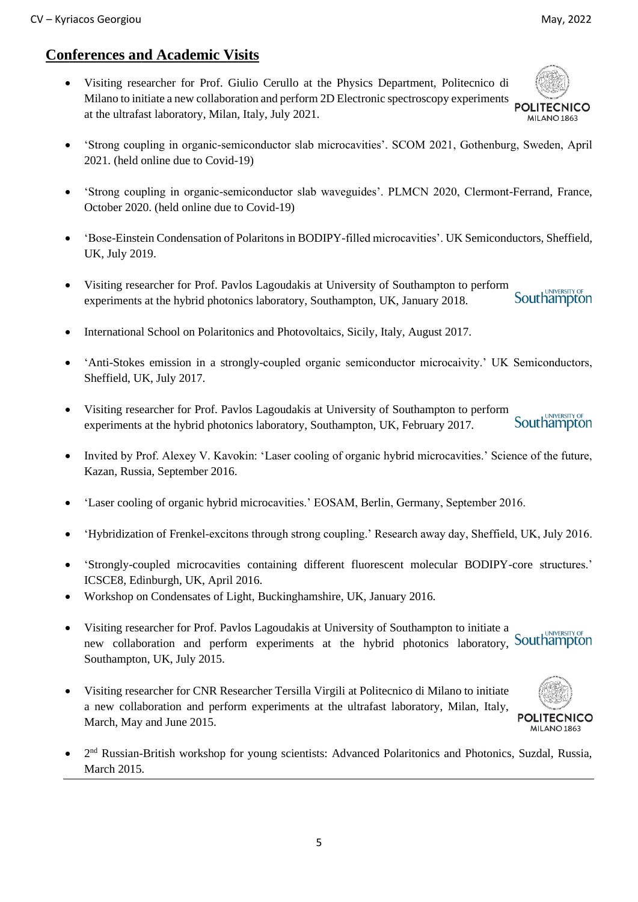MILANO 1863

# **Conferences and Academic Visits**

• Visiting researcher for Prof. Giulio Cerullo at the Physics Department, Politecnico di Milano to initiate a new collaboration and perform 2D Electronic spectroscopy experiments **POLITECNICO** at the ultrafast laboratory, Milan, Italy, July 2021.



- 'Strong coupling in organic-semiconductor slab waveguides'. PLMCN 2020, Clermont-Ferrand, France, October 2020. (held online due to Covid-19)
- 'Bose-Einstein Condensation of Polaritons in BODIPY-filled microcavities'. UK Semiconductors, Sheffield, UK, July 2019.
- Visiting researcher for Prof. Pavlos Lagoudakis at University of Southampton to perform **Southampton** experiments at the hybrid photonics laboratory, Southampton, UK, January 2018.
- International School on Polaritonics and Photovoltaics, Sicily, Italy, August 2017.
- 'Anti-Stokes emission in a strongly-coupled organic semiconductor microcaivity.' UK Semiconductors, Sheffield, UK, July 2017.
- Visiting researcher for Prof. Pavlos Lagoudakis at University of Southampton to perform **Southampton** experiments at the hybrid photonics laboratory, Southampton, UK, February 2017.
- Invited by Prof. Alexey V. Kavokin: 'Laser cooling of organic hybrid microcavities.' Science of the future, Kazan, Russia, September 2016.
- 'Laser cooling of organic hybrid microcavities.' EOSAM, Berlin, Germany, September 2016.
- 'Hybridization of Frenkel-excitons through strong coupling.' Research away day, Sheffield, UK, July 2016.
- 'Strongly-coupled microcavities containing different fluorescent molecular BODIPY-core structures.' ICSCE8, Edinburgh, UK, April 2016.
- Workshop on Condensates of Light, Buckinghamshire, UK, January 2016.
- Visiting researcher for Prof. Pavlos Lagoudakis at University of Southampton to initiate a new collaboration and perform experiments at the hybrid photonics laboratory, Southampton Southampton, UK, July 2015.
- Visiting researcher for CNR Researcher Tersilla Virgili at Politecnico di Milano to initiate a new collaboration and perform experiments at the ultrafast laboratory, Milan, Italy, March, May and June 2015.



• 2 nd Russian-British workshop for young scientists: Advanced Polaritonics and Photonics, Suzdal, Russia, March 2015.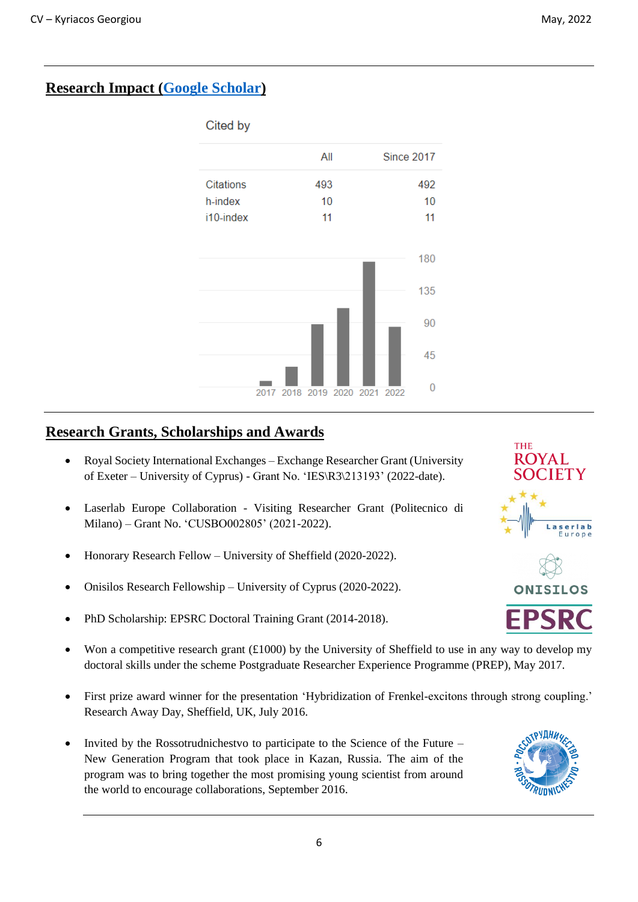# **Research Impact [\(Google Scholar\)](https://scholar.google.com/citations?user=jG8HYJQAAAAJ&hl=en)**



# **Research Grants, Scholarships and Awards**

- Royal Society International Exchanges Exchange Researcher Grant (University of Exeter – University of Cyprus) - Grant No. 'IES\R3\213193' (2022-date).
- Laserlab Europe Collaboration Visiting Researcher Grant (Politecnico di Milano) – Grant No. 'CUSBO002805' (2021-2022).
- Honorary Research Fellow University of Sheffield (2020-2022).
- Onisilos Research Fellowship University of Cyprus (2020-2022).
- PhD Scholarship: EPSRC Doctoral Training Grant (2014-2018).
- Won a competitive research grant  $(\text{\pounds}1000)$  by the University of Sheffield to use in any way to develop my doctoral skills under the scheme Postgraduate Researcher Experience Programme (PREP), May 2017.
- First prize award winner for the presentation 'Hybridization of Frenkel-excitons through strong coupling.' Research Away Day, Sheffield, UK, July 2016.
- Invited by the Rossotrudnichestvo to participate to the Science of the Future New Generation Program that took place in Kazan, Russia. The aim of the program was to bring together the most promising young scientist from around the world to encourage collaborations, September 2016.